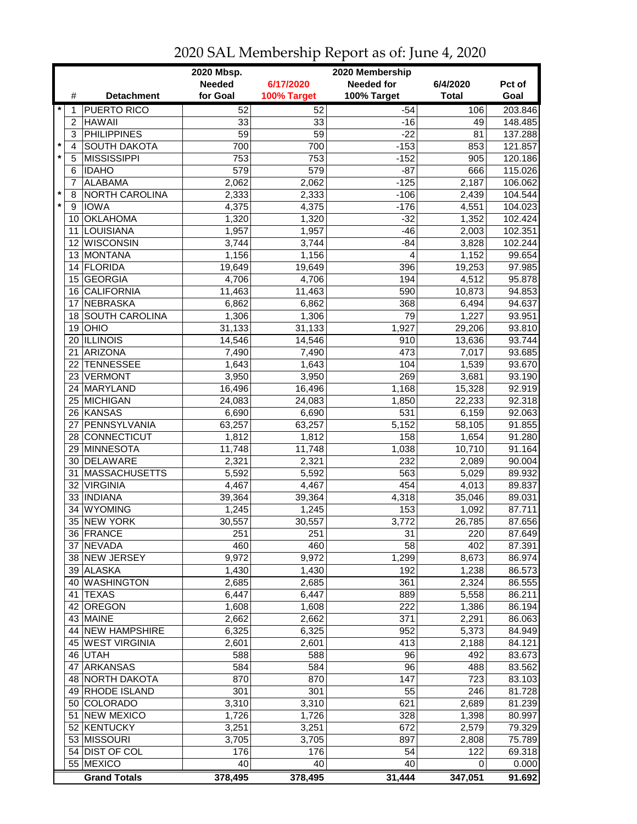|               |                 | 2020 Mbsp.<br>2020 Membership |                 |                 |                   |              |         |
|---------------|-----------------|-------------------------------|-----------------|-----------------|-------------------|--------------|---------|
|               |                 |                               | <b>Needed</b>   | 6/17/2020       | <b>Needed for</b> | 6/4/2020     | Pct of  |
|               | #               | <b>Detachment</b>             | for Goal        | 100% Target     | 100% Target       | <b>Total</b> | Goal    |
| $\ast$        | 1               | <b>PUERTO RICO</b>            | 52              | $\overline{52}$ | $-54$             | 106          | 203.846 |
|               | $\overline{c}$  | <b>HAWAII</b>                 | 33              | 33              | $-16$             | 49           | 148.485 |
|               | 3               | <b>PHILIPPINES</b>            | $\overline{59}$ | $\overline{59}$ | $-22$             | 81           | 137.288 |
| $\star$       | 4               | <b>SOUTH DAKOTA</b>           | 700             | 700             | $-153$            | 853          | 121.857 |
| $\star$       | 5               | <b>MISSISSIPPI</b>            | 753             | 753             | $-152$            | 905          | 120.186 |
|               | 6               | <b>IDAHO</b>                  | 579             | 579             | $-87$             | 666          | 115.026 |
|               | 7               | <b>ALABAMA</b>                | 2,062           | 2,062           | $-125$            | 2,187        | 106.062 |
| $\star$       | 8               | NORTH CAROLINA                | 2,333           | 2,333           | $-106$            | 2,439        | 104.544 |
| $\pmb{\star}$ | 9               | <b>IOWA</b>                   | 4,375           | 4,375           | $-176$            | 4,551        | 104.023 |
|               | 10              | <b>OKLAHOMA</b>               | 1,320           | 1,320           | $-32$             | 1,352        | 102.424 |
|               | 11              | LOUISIANA                     | 1,957           | 1,957           | $-46$             | 2,003        | 102.351 |
|               | 12              | <b>WISCONSIN</b>              | 3,744           | 3,744           | $-84$             | 3,828        | 102.244 |
|               | 13              | MONTANA                       | 1,156           | 1,156           | 4                 | 1,152        | 99.654  |
|               | 14              | FLORIDA                       | 19,649          | 19,649          | 396               | 19,253       | 97.985  |
|               | 15              | <b>GEORGIA</b>                | 4,706           | 4,706           | 194               | 4,512        | 95.878  |
|               | 16              | <b>CALIFORNIA</b>             | 11,463          | 11,463          | 590               | 10,873       | 94.853  |
|               | 17              | NEBRASKA                      | 6,862           | 6,862           | 368               | 6,494        | 94.637  |
|               | 18              | <b>SOUTH CAROLINA</b>         | 1,306           | 1,306           | 79                | 1,227        | 93.951  |
|               | 19              | OHIO                          | 31,133          | 31,133          | 1,927             | 29,206       | 93.810  |
|               |                 | 20 ILLINOIS                   | 14,546          | 14,546          | 910               | 13,636       | 93.744  |
|               | 21              | <b>ARIZONA</b>                | 7,490           | 7,490           | 473               | 7,017        | 93.685  |
|               | 22              | <b>TENNESSEE</b>              | 1,643           | 1,643           | 104               | 1,539        | 93.670  |
|               |                 | 23 VERMONT                    | 3,950           | 3,950           | 269               | 3,681        | 93.190  |
|               |                 | 24 MARYLAND                   | 16,496          | 16,496          | 1,168             | 15,328       | 92.919  |
|               |                 | 25 MICHIGAN                   |                 | 24,083          | 1,850             |              | 92.318  |
|               |                 | 26 KANSAS                     | 24,083          |                 | 531               | 22,233       | 92.063  |
|               |                 |                               | 6,690           | 6,690           |                   | 6,159        |         |
|               | 27              | PENNSYLVANIA                  | 63,257          | 63,257          | 5,152             | 58,105       | 91.855  |
|               |                 | 28 CONNECTICUT                | 1,812           | 1,812           | 158               | 1,654        | 91.280  |
|               | 29              | MINNESOTA                     | 11,748          | 11,748          | 1,038             | 10,710       | 91.164  |
|               | 30              | DELAWARE                      | 2,321           | 2,321           | 232               | 2,089        | 90.004  |
|               | 31              | <b>MASSACHUSETTS</b>          | 5,592           | 5,592           | 563               | 5,029        | 89.932  |
|               | 32              | VIRGINIA                      | 4,467           | 4,467           | 454               | 4,013        | 89.837  |
|               |                 | 33   INDIANA                  | 39,364          | 39,364          | 4,318             | 35,046       | 89.031  |
|               | 34              | <b>WYOMING</b>                | 1,245           | 1,245           | 153               | 1,092        | 87.711  |
|               |                 | 35 NEW YORK                   | 30,557          | 30,557          | 3,772             | 26,785       | 87.656  |
|               |                 | 36 FRANCE                     | 251             | 251             | 31                | 220          | 87.649  |
|               |                 | 37 NEVADA                     | 460             | 460             | 58                | 402          | 87.391  |
|               |                 | 38 NEW JERSEY                 | 9,972           | 9,972           | 1,299             | 8,673        | 86.974  |
|               |                 | 39 ALASKA                     | 1,430           | 1,430           | 192               | 1,238        | 86.573  |
|               |                 | 40 WASHINGTON                 | 2,685           | 2,685           | 361               | 2,324        | 86.555  |
|               | 41              | <b>TEXAS</b>                  | 6,447           | 6,447           | 889               | 5,558        | 86.211  |
|               | 42              | <b>OREGON</b>                 | 1,608           | 1,608           | 222               | 1,386        | 86.194  |
|               |                 | 43 MAINE                      | 2,662           | 2,662           | 371               | 2,291        | 86.063  |
|               |                 | 44 NEW HAMPSHIRE              | 6,325           | 6,325           | 952               | 5,373        | 84.949  |
|               |                 | 45 WEST VIRGINIA              | 2,601           | 2,601           | 413               | 2,188        | 84.121  |
|               |                 | 46 UTAH                       | 588             | 588             | 96                | 492          | 83.673  |
|               | 47              | <b>ARKANSAS</b>               | 584             | 584             | 96                | 488          | 83.562  |
|               |                 | 48 NORTH DAKOTA               | 870             | 870             | 147               | 723          | 83.103  |
|               |                 | 49 RHODE ISLAND               | 301             | 301             | 55                | 246          | 81.728  |
|               | 50 <sub>1</sub> | COLORADO                      | 3,310           | 3,310           | 621               | 2,689        | 81.239  |
|               | 51              | <b>NEW MEXICO</b>             | 1,726           | 1,726           | 328               | 1,398        | 80.997  |
|               |                 | 52 KENTUCKY                   | 3,251           | 3,251           | 672               | 2,579        | 79.329  |
|               |                 | 53 MISSOURI                   | 3,705           | 3,705           | 897               | 2,808        | 75.789  |
|               |                 | 54 DIST OF COL                | 176             | 176             | 54                | 122          | 69.318  |
|               |                 | 55 MEXICO                     | 40              | 40              | 40                | 0            | 0.000   |
|               |                 | <b>Grand Totals</b>           | 378,495         | 378,495         | 31,444            | 347,051      | 91.692  |

2020 SAL Membership Report as of: June 4, 2020